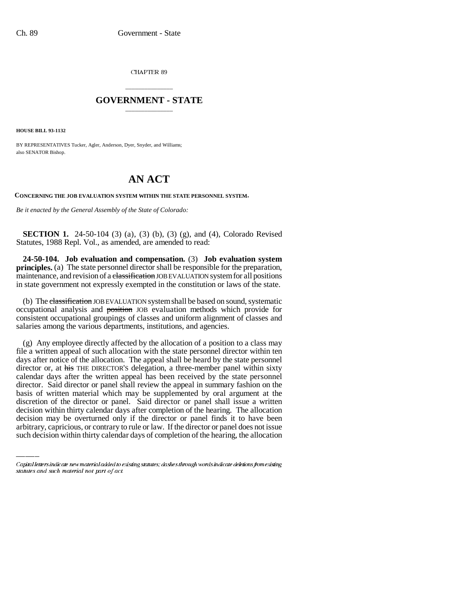CHAPTER 89

## \_\_\_\_\_\_\_\_\_\_\_\_\_\_\_ **GOVERNMENT - STATE** \_\_\_\_\_\_\_\_\_\_\_\_\_\_\_

**HOUSE BILL 93-1132**

BY REPRESENTATIVES Tucker, Agler, Anderson, Dyer, Snyder, and Williams; also SENATOR Bishop.

## **AN ACT**

**CONCERNING THE JOB EVALUATION SYSTEM WITHIN THE STATE PERSONNEL SYSTEM.**

*Be it enacted by the General Assembly of the State of Colorado:*

**SECTION 1.** 24-50-104 (3) (a), (3) (b), (3) (g), and (4), Colorado Revised Statutes, 1988 Repl. Vol., as amended, are amended to read:

**24-50-104. Job evaluation and compensation.** (3) **Job evaluation system principles.** (a) The state personnel director shall be responsible for the preparation, maintenance, and revision of a classification JOB EVALUATION system for all positions in state government not expressly exempted in the constitution or laws of the state.

(b) The classification JOB EVALUATION system shall be based on sound, systematic occupational analysis and position JOB evaluation methods which provide for consistent occupational groupings of classes and uniform alignment of classes and salaries among the various departments, institutions, and agencies.

discretion of the director or panel. Said director or panel shall issue a written (g) Any employee directly affected by the allocation of a position to a class may file a written appeal of such allocation with the state personnel director within ten days after notice of the allocation. The appeal shall be heard by the state personnel director or, at his THE DIRECTOR'S delegation, a three-member panel within sixty calendar days after the written appeal has been received by the state personnel director. Said director or panel shall review the appeal in summary fashion on the basis of written material which may be supplemented by oral argument at the decision within thirty calendar days after completion of the hearing. The allocation decision may be overturned only if the director or panel finds it to have been arbitrary, capricious, or contrary to rule or law. If the director or panel does not issue such decision within thirty calendar days of completion of the hearing, the allocation

Capital letters indicate new material added to existing statutes; dashes through words indicate deletions from existing statutes and such material not part of act.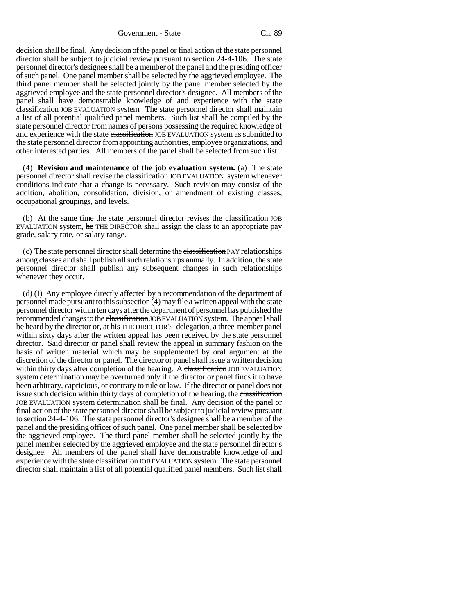Government - State Ch. 89

decision shall be final. Any decision of the panel or final action of the state personnel director shall be subject to judicial review pursuant to section 24-4-106. The state personnel director's designee shall be a member of the panel and the presiding officer of such panel. One panel member shall be selected by the aggrieved employee. The third panel member shall be selected jointly by the panel member selected by the aggrieved employee and the state personnel director's designee. All members of the panel shall have demonstrable knowledge of and experience with the state classification JOB EVALUATION system. The state personnel director shall maintain a list of all potential qualified panel members. Such list shall be compiled by the state personnel director from names of persons possessing the required knowledge of and experience with the state classification JOB EVALUATION system as submitted to the state personnel director from appointing authorities, employee organizations, and other interested parties. All members of the panel shall be selected from such list.

(4) **Revision and maintenance of the job evaluation system.** (a) The state personnel director shall revise the classification JOB EVALUATION system whenever conditions indicate that a change is necessary. Such revision may consist of the addition, abolition, consolidation, division, or amendment of existing classes, occupational groupings, and levels.

(b) At the same time the state personnel director revises the classification JOB EVALUATION system, he THE DIRECTOR shall assign the class to an appropriate pay grade, salary rate, or salary range.

(c) The state personnel director shall determine the classification PAY relationships among classes and shall publish all such relationships annually. In addition, the state personnel director shall publish any subsequent changes in such relationships whenever they occur.

(d) (I) Any employee directly affected by a recommendation of the department of personnel made pursuant to this subsection (4) may file a written appeal with the state personnel director within ten days after the department of personnel has published the recommended changes to the classification JOB EVALUATION system. The appeal shall be heard by the director or, at his THE DIRECTOR'S delegation, a three-member panel within sixty days after the written appeal has been received by the state personnel director. Said director or panel shall review the appeal in summary fashion on the basis of written material which may be supplemented by oral argument at the discretion of the director or panel. The director or panel shall issue a written decision within thirty days after completion of the hearing. A classification JOB EVALUATION system determination may be overturned only if the director or panel finds it to have been arbitrary, capricious, or contrary to rule or law. If the director or panel does not issue such decision within thirty days of completion of the hearing, the elassification JOB EVALUATION system determination shall be final. Any decision of the panel or final action of the state personnel director shall be subject to judicial review pursuant to section 24-4-106. The state personnel director's designee shall be a member of the panel and the presiding officer of such panel. One panel member shall be selected by the aggrieved employee. The third panel member shall be selected jointly by the panel member selected by the aggrieved employee and the state personnel director's designee. All members of the panel shall have demonstrable knowledge of and experience with the state classification JOB EVALUATION system. The state personnel director shall maintain a list of all potential qualified panel members. Such list shall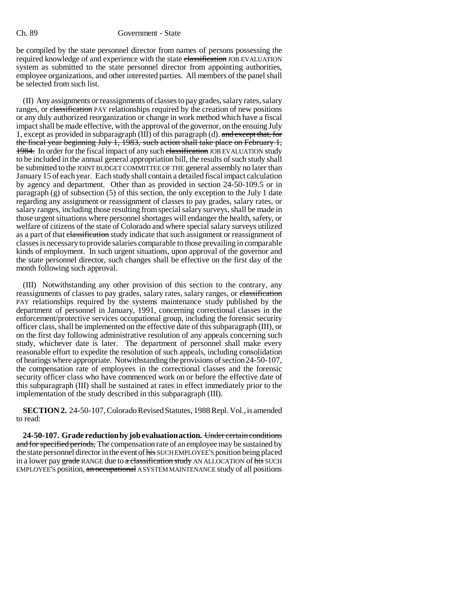be compiled by the state personnel director from names of persons possessing the required knowledge of and experience with the state classification JOB EVALUATION system as submitted to the state personnel director from appointing authorities, employee organizations, and other interested parties. All members of the panel shall be selected from such list.

(II) Any assignments or reassignments of classes to pay grades, salary rates, salary ranges, or classification PAY relationships required by the creation of new positions or any duly authorized reorganization or change in work method which have a fiscal impact shall be made effective, with the approval of the governor, on the ensuing July 1, except as provided in subparagraph (III) of this paragraph (d). and except that, for the fiscal year beginning July 1, 1983, such action shall take place on February 1, 1984. In order for the fiscal impact of any such classification JOB EVALUATION study to be included in the annual general appropriation bill, the results of such study shall be submitted to the JOINT BUDGET COMMITTEE OF THE general assembly no later than January 15 of each year. Each study shall contain a detailed fiscal impact calculation by agency and department. Other than as provided in section 24-50-109.5 or in paragraph (g) of subsection (5) of this section, the only exception to the July 1 date regarding any assignment or reassignment of classes to pay grades, salary rates, or salary ranges, including those resulting from special salary surveys, shall be made in those urgent situations where personnel shortages will endanger the health, safety, or welfare of citizens of the state of Colorado and where special salary surveys utilized as a part of that classification study indicate that such assignment or reassignment of classes is necessary to provide salaries comparable to those prevailing in comparable kinds of employment. In such urgent situations, upon approval of the governor and the state personnel director, such changes shall be effective on the first day of the month following such approval.

(III) Notwithstanding any other provision of this section to the contrary, any reassignments of classes to pay grades, salary rates, salary ranges, or elassification PAY relationships required by the systems maintenance study published by the department of personnel in January, 1991, concerning correctional classes in the enforcement/protective services occupational group, including the forensic security officer class, shall be implemented on the effective date of this subparagraph (III), or on the first day following administrative resolution of any appeals concerning such study, whichever date is later. The department of personnel shall make every reasonable effort to expedite the resolution of such appeals, including consolidation of hearings where appropriate. Notwithstanding the provisions of section 24-50-107, the compensation rate of employees in the correctional classes and the forensic security officer class who have commenced work on or before the effective date of this subparagraph (III) shall be sustained at rates in effect immediately prior to the implementation of the study described in this subparagraph (III).

**SECTION 2.** 24-50-107, Colorado Revised Statutes, 1988 Repl. Vol., is amended to read:

**24-50-107. Grade reduction by job evaluation action.** Under certain conditions and for specified periods, The compensation rate of an employee may be sustained by the state personnel director in the event of his SUCH EMPLOYEE'S position being placed in a lower pay grade RANGE due to a classification study AN ALLOCATION of his SUCH EMPLOYEE'S position, an occupational A SYSTEM MAINTENANCE study of all positions